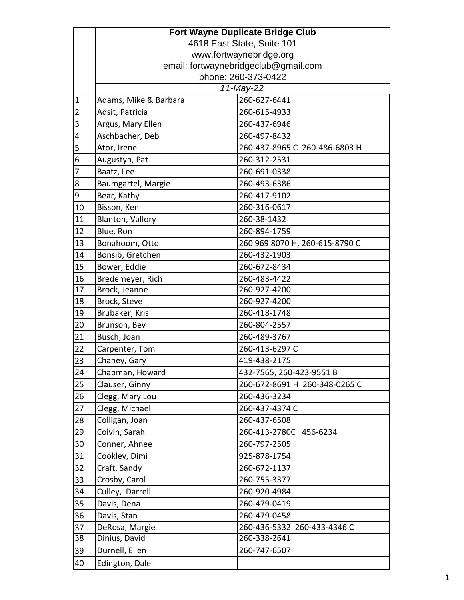|                | <b>Fort Wayne Duplicate Bridge Club</b> |                                |  |
|----------------|-----------------------------------------|--------------------------------|--|
|                | 4618 East State, Suite 101              |                                |  |
|                | www.fortwaynebridge.org                 |                                |  |
|                | email: fortwaynebridgeclub@gmail.com    |                                |  |
|                | phone: 260-373-0422                     |                                |  |
|                | 11-May-22                               |                                |  |
| $\mathbf 1$    | Adams, Mike & Barbara                   | 260-627-6441                   |  |
| $\overline{2}$ | Adsit, Patricia                         | 260-615-4933                   |  |
| 3              | Argus, Mary Ellen                       | 260-437-6946                   |  |
| 4              | Aschbacher, Deb                         | 260-497-8432                   |  |
| 5              | Ator, Irene                             | 260-437-8965 C 260-486-6803 H  |  |
| 6              | Augustyn, Pat                           | 260-312-2531                   |  |
| $\overline{7}$ | Baatz, Lee                              | 260-691-0338                   |  |
| 8              | Baumgartel, Margie                      | 260-493-6386                   |  |
| 9              | Bear, Kathy                             | 260-417-9102                   |  |
| 10             | Bisson, Ken                             | 260-316-0617                   |  |
| 11             | Blanton, Vallory                        | 260-38-1432                    |  |
| 12             | Blue, Ron                               | 260-894-1759                   |  |
| 13             | Bonahoom, Otto                          | 260 969 8070 H, 260-615-8790 C |  |
| 14             | Bonsib, Gretchen                        | 260-432-1903                   |  |
| 15             | Bower, Eddie                            | 260-672-8434                   |  |
| 16             | Bredemeyer, Rich                        | 260-483-4422                   |  |
| 17             | Brock, Jeanne                           | 260-927-4200                   |  |
| 18             | Brock, Steve                            | 260-927-4200                   |  |
| 19             | Brubaker, Kris                          | 260-418-1748                   |  |
| 20             | Brunson, Bev                            | 260-804-2557                   |  |
| 21             | Busch, Joan                             | 260-489-3767                   |  |
| 22             | Carpenter, Tom                          | 260-413-6297 C                 |  |
| 23             | Chaney, Gary                            | 419-438-2175                   |  |
| 24             | Chapman, Howard                         | 432-7565, 260-423-9551 B       |  |
| 25             | Clauser, Ginny                          | 260-672-8691 H 260-348-0265 C  |  |
| 26             | Clegg, Mary Lou                         | 260-436-3234                   |  |
| 27             | Clegg, Michael                          | 260-437-4374 C                 |  |
| 28             | Colligan, Joan                          | 260-437-6508                   |  |
| 29             | Colvin, Sarah                           | 260-413-2780C 456-6234         |  |
| 30             | Conner, Ahnee                           | 260-797-2505                   |  |
| 31             | Cooklev, Dimi                           | 925-878-1754                   |  |
| 32             | Craft, Sandy                            | 260-672-1137                   |  |
| 33             | Crosby, Carol                           | 260-755-3377                   |  |
| 34             | Culley, Darrell                         | 260-920-4984                   |  |
| 35             | Davis, Dena                             | 260-479-0419                   |  |
| 36             | Davis, Stan                             | 260-479-0458                   |  |
| 37             | DeRosa, Margie                          | 260-436-5332 260-433-4346 C    |  |
| 38             | Dinius, David                           | 260-338-2641                   |  |
| 39             | Durnell, Ellen                          | 260-747-6507                   |  |
| 40             | Edington, Dale                          |                                |  |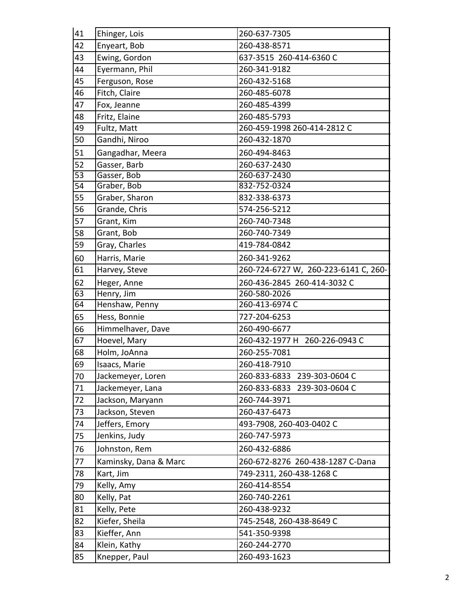| 41 | Ehinger, Lois         | 260-637-7305                         |
|----|-----------------------|--------------------------------------|
| 42 | Enyeart, Bob          | 260-438-8571                         |
| 43 | Ewing, Gordon         | 637-3515 260-414-6360 C              |
| 44 | Eyermann, Phil        | 260-341-9182                         |
| 45 | Ferguson, Rose        | 260-432-5168                         |
| 46 | Fitch, Claire         | 260-485-6078                         |
| 47 | Fox, Jeanne           | 260-485-4399                         |
| 48 | Fritz, Elaine         | 260-485-5793                         |
| 49 | Fultz, Matt           | 260-459-1998 260-414-2812 C          |
| 50 | Gandhi, Niroo         | 260-432-1870                         |
| 51 | Gangadhar, Meera      | 260-494-8463                         |
| 52 | Gasser, Barb          | 260-637-2430                         |
| 53 | Gasser, Bob           | 260-637-2430                         |
| 54 | Graber, Bob           | 832-752-0324                         |
| 55 | Graber, Sharon        | 832-338-6373                         |
| 56 | Grande, Chris         | 574-256-5212                         |
| 57 | Grant, Kim            | 260-740-7348                         |
| 58 | Grant, Bob            | 260-740-7349                         |
| 59 | Gray, Charles         | 419-784-0842                         |
| 60 | Harris, Marie         | 260-341-9262                         |
| 61 | Harvey, Steve         | 260-724-6727 W, 260-223-6141 C, 260- |
| 62 | Heger, Anne           | 260-436-2845 260-414-3032 C          |
| 63 | Henry, Jim            | 260-580-2026                         |
| 64 | Henshaw, Penny        | 260-413-6974 C                       |
| 65 | Hess, Bonnie          | 727-204-6253                         |
| 66 | Himmelhaver, Dave     | 260-490-6677                         |
| 67 | Hoevel, Mary          | 260-432-1977 H 260-226-0943 C        |
| 68 | Holm, JoAnna          | 260-255-7081                         |
| 69 | Isaacs, Marie         | 260-418-7910                         |
| 70 | Jackemeyer, Loren     | 260-833-6833 239-303-0604 C          |
| 71 | Jackemeyer, Lana      | 260-833-6833 239-303-0604 C          |
| 72 | Jackson, Maryann      | 260-744-3971                         |
| 73 | Jackson, Steven       | 260-437-6473                         |
| 74 | Jeffers, Emory        | 493-7908, 260-403-0402 C             |
| 75 | Jenkins, Judy         | 260-747-5973                         |
| 76 | Johnston, Rem         | 260-432-6886                         |
| 77 | Kaminsky, Dana & Marc | 260-672-8276 260-438-1287 C-Dana     |
| 78 | Kart, Jim             | 749-2311, 260-438-1268 C             |
| 79 | Kelly, Amy            | 260-414-8554                         |
| 80 | Kelly, Pat            | 260-740-2261                         |
| 81 | Kelly, Pete           | 260-438-9232                         |
| 82 | Kiefer, Sheila        | 745-2548, 260-438-8649 C             |
| 83 | Kieffer, Ann          | 541-350-9398                         |
| 84 | Klein, Kathy          | 260-244-2770                         |
| 85 | Knepper, Paul         | 260-493-1623                         |
|    |                       |                                      |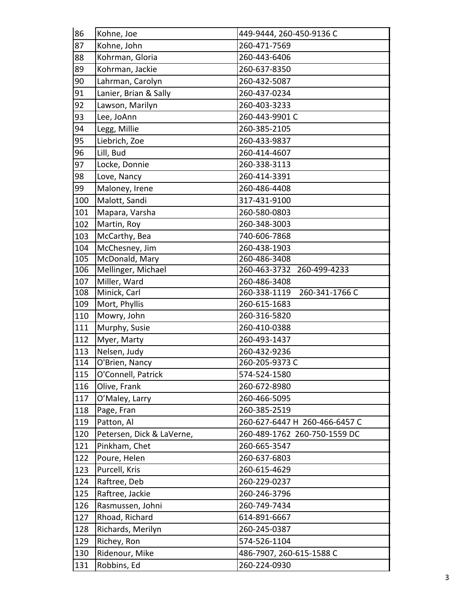| 86  | Kohne, Joe                | 449-9444, 260-450-9136 C       |
|-----|---------------------------|--------------------------------|
| 87  | Kohne, John               | 260-471-7569                   |
| 88  | Kohrman, Gloria           | 260-443-6406                   |
| 89  | Kohrman, Jackie           | 260-637-8350                   |
| 90  | Lahrman, Carolyn          | 260-432-5087                   |
| 91  | Lanier, Brian & Sally     | 260-437-0234                   |
| 92  | Lawson, Marilyn           | 260-403-3233                   |
| 93  | Lee, JoAnn                | 260-443-9901 C                 |
| 94  | Legg, Millie              | 260-385-2105                   |
| 95  | Liebrich, Zoe             | 260-433-9837                   |
| 96  | Lill, Bud                 | 260-414-4607                   |
| 97  | Locke, Donnie             | 260-338-3113                   |
| 98  | Love, Nancy               | 260-414-3391                   |
| 99  | Maloney, Irene            | 260-486-4408                   |
| 100 | Malott, Sandi             | 317-431-9100                   |
| 101 | Mapara, Varsha            | 260-580-0803                   |
| 102 | Martin, Roy               | 260-348-3003                   |
| 103 | McCarthy, Bea             | 740-606-7868                   |
| 104 | McChesney, Jim            | 260-438-1903                   |
| 105 | McDonald, Mary            | 260-486-3408                   |
| 106 | Mellinger, Michael        | 260-463-3732 260-499-4233      |
| 107 | Miller, Ward              | 260-486-3408                   |
| 108 | Minick, Carl              | 260-341-1766 C<br>260-338-1119 |
| 109 | Mort, Phyllis             | 260-615-1683                   |
| 110 | Mowry, John               | 260-316-5820                   |
| 111 | Murphy, Susie             | 260-410-0388                   |
| 112 | Myer, Marty               | 260-493-1437                   |
| 113 | Nelsen, Judy              | 260-432-9236                   |
| 114 | O'Brien, Nancy            | 260-205-9373 C                 |
| 115 | O'Connell, Patrick        | 574-524-1580                   |
| 116 | Olive, Frank              | 260-672-8980                   |
| 117 | O'Maley, Larry            | 260-466-5095                   |
| 118 | Page, Fran                | 260-385-2519                   |
| 119 | Patton, Al                | 260-627-6447 H 260-466-6457 C  |
| 120 | Petersen, Dick & LaVerne, | 260-489-1762 260-750-1559 DC   |
| 121 | Pinkham, Chet             | 260-665-3547                   |
| 122 | Poure, Helen              | 260-637-6803                   |
| 123 | Purcell, Kris             | 260-615-4629                   |
| 124 | Raftree, Deb              | 260-229-0237                   |
| 125 | Raftree, Jackie           | 260-246-3796                   |
| 126 | Rasmussen, Johni          | 260-749-7434                   |
| 127 | Rhoad, Richard            | 614-891-6667                   |
| 128 | Richards, Merilyn         | 260-245-0387                   |
| 129 | Richey, Ron               | 574-526-1104                   |
| 130 | Ridenour, Mike            | 486-7907, 260-615-1588 C       |
| 131 | Robbins, Ed               | 260-224-0930                   |
|     |                           |                                |